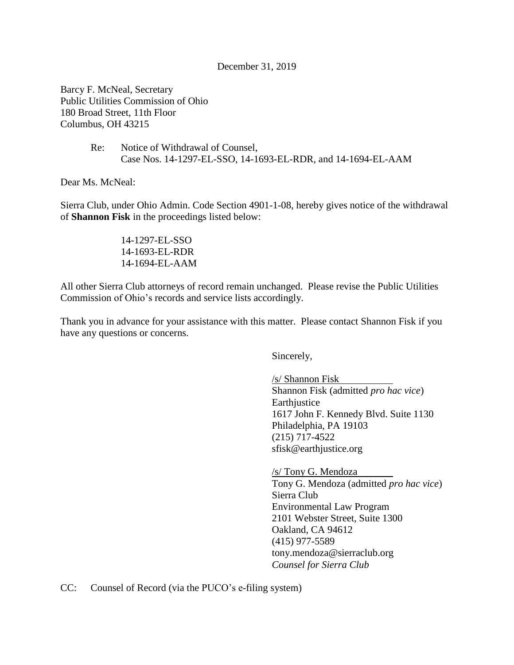## December 31, 2019

Barcy F. McNeal, Secretary Public Utilities Commission of Ohio 180 Broad Street, 11th Floor Columbus, OH 43215

> Re: Notice of Withdrawal of Counsel, Case Nos. 14-1297-EL-SSO, 14-1693-EL-RDR, and 14-1694-EL-AAM

Dear Ms. McNeal:

Sierra Club, under Ohio Admin. Code Section 4901-1-08, hereby gives notice of the withdrawal of **Shannon Fisk** in the proceedings listed below:

> 14-1297-EL-SSO 14-1693-EL-RDR 14-1694-EL-AAM

All other Sierra Club attorneys of record remain unchanged. Please revise the Public Utilities Commission of Ohio's records and service lists accordingly.

Thank you in advance for your assistance with this matter. Please contact Shannon Fisk if you have any questions or concerns.

Sincerely,

/s/ Shannon Fisk Shannon Fisk (admitted *pro hac vice*) **Earthjustice** 1617 John F. Kennedy Blvd. Suite 1130 Philadelphia, PA 19103 (215) 717-4522 sfisk@earthjustice.org

/s/ Tony G. Mendoza Tony G. Mendoza (admitted *pro hac vice*) Sierra Club Environmental Law Program 2101 Webster Street, Suite 1300 Oakland, CA 94612 (415) 977-5589 tony.mendoza@sierraclub.org *Counsel for Sierra Club*